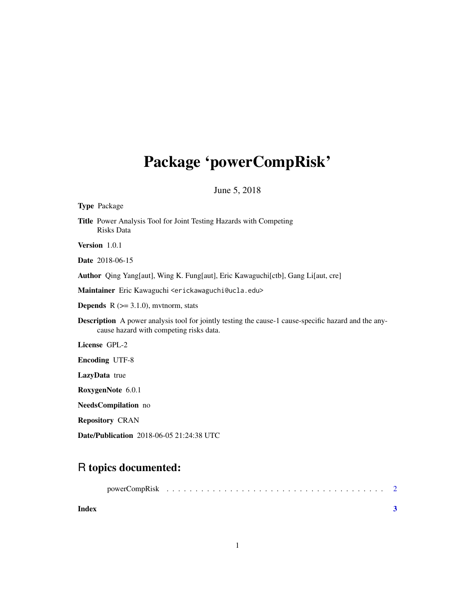## Package 'powerCompRisk'

June 5, 2018

| <b>Type Package</b>                                                                                                                                    |
|--------------------------------------------------------------------------------------------------------------------------------------------------------|
| Title Power Analysis Tool for Joint Testing Hazards with Competing<br>Risks Data                                                                       |
| Version 1.0.1                                                                                                                                          |
| <b>Date</b> 2018-06-15                                                                                                                                 |
| Author Qing Yang[aut], Wing K. Fung[aut], Eric Kawaguchi[ctb], Gang Li[aut, cre]                                                                       |
| Maintainer Eric Kawaguchi <erickawaguchi@ucla.edu></erickawaguchi@ucla.edu>                                                                            |
| <b>Depends</b> $R$ ( $>= 3.1.0$ ), mythorm, stats                                                                                                      |
| <b>Description</b> A power analysis tool for jointly testing the cause-1 cause-specific hazard and the any-<br>cause hazard with competing risks data. |
| License GPL-2                                                                                                                                          |
| <b>Encoding UTF-8</b>                                                                                                                                  |
| <b>LazyData</b> true                                                                                                                                   |
| RoxygenNote 6.0.1                                                                                                                                      |
| NeedsCompilation no                                                                                                                                    |
| <b>Repository CRAN</b>                                                                                                                                 |
| <b>Date/Publication</b> 2018-06-05 21:24:38 UTC                                                                                                        |

### R topics documented:

| Index |  |  |  |  |  |  |  |  |  |  |  |  |  |  |  |
|-------|--|--|--|--|--|--|--|--|--|--|--|--|--|--|--|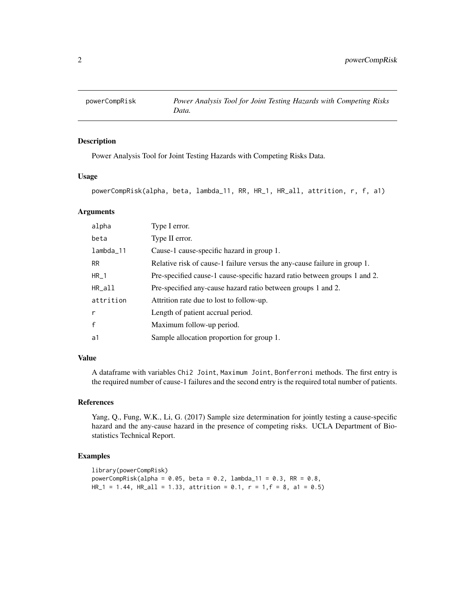<span id="page-1-0"></span>

#### Description

Power Analysis Tool for Joint Testing Hazards with Competing Risks Data.

#### Usage

powerCompRisk(alpha, beta, lambda\_11, RR, HR\_1, HR\_all, attrition, r, f, a1)

#### Arguments

| alpha        | Type I error.                                                             |
|--------------|---------------------------------------------------------------------------|
| beta         | Type II error.                                                            |
| $lambda_11$  | Cause-1 cause-specific hazard in group 1.                                 |
| <b>RR</b>    | Relative risk of cause-1 failure versus the any-cause failure in group 1. |
| $HR_1$       | Pre-specified cause-1 cause-specific hazard ratio between groups 1 and 2. |
| HR_all       | Pre-specified any-cause hazard ratio between groups 1 and 2.              |
| attrition    | Attrition rate due to lost to follow-up.                                  |
| r            | Length of patient accrual period.                                         |
| $\mathbf{f}$ | Maximum follow-up period.                                                 |
| a1           | Sample allocation proportion for group 1.                                 |

#### Value

A dataframe with variables Chi2 Joint, Maximum Joint, Bonferroni methods. The first entry is the required number of cause-1 failures and the second entry is the required total number of patients.

#### References

Yang, Q., Fung, W.K., Li, G. (2017) Sample size determination for jointly testing a cause-specific hazard and the any-cause hazard in the presence of competing risks. UCLA Department of Biostatistics Technical Report.

#### Examples

```
library(powerCompRisk)
powerCompRisk(alpha = 0.05, beta = 0.2, lambda_11 = 0.3, RR = 0.8,HR_1 = 1.44, HR_2 = 1.33, attrition = 0.1, r = 1, f = 8, a1 = 0.5)
```